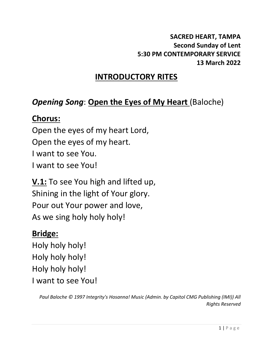### **SACRED HEART, TAMPA Second Sunday of Lent 5:30 PM CONTEMPORARY SERVICE 13 March 2022**

# **INTRODUCTORY RITES**

# *Opening Song*: **Open the Eyes of My Heart** (Baloche)

## **Chorus:**

Open the eyes of my heart Lord, Open the eyes of my heart. I want to see You. I want to see You!

**V.1:** To see You high and lifted up, Shining in the light of Your glory. Pour out Your power and love, As we sing holy holy holy!

## **Bridge:**

Holy holy holy! Holy holy holy! Holy holy holy! I want to see You!

> *Paul Baloche © 1997 Integrity's Hosanna! Music (Admin. by Capitol CMG Publishing (IMI)) All Rights Reserved*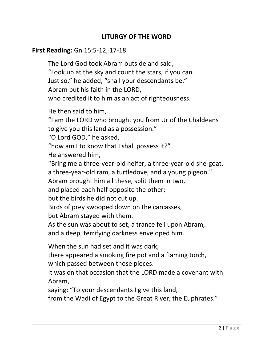#### **LITURGY OF THE WORD**

#### **First Reading:** Gn 15:5-12, 17-18

The Lord God took Abram outside and said, "Look up at the sky and count the stars, if you can. Just so," he added, "shall your descendants be." Abram put his faith in the LORD, who credited it to him as an act of righteousness.

He then said to him,

"I am the LORD who brought you from Ur of the Chaldeans to give you this land as a possession."

"O Lord GOD," he asked,

"how am I to know that I shall possess it?"

He answered him,

"Bring me a three-year-old heifer, a three-year-old she-goat, a three-year-old ram, a turtledove, and a young pigeon."

Abram brought him all these, split them in two,

and placed each half opposite the other;

but the birds he did not cut up.

Birds of prey swooped down on the carcasses,

but Abram stayed with them.

As the sun was about to set, a trance fell upon Abram,

and a deep, terrifying darkness enveloped him.

When the sun had set and it was dark,

there appeared a smoking fire pot and a flaming torch, which passed between those pieces.

It was on that occasion that the LORD made a covenant with Abram,

saying: "To your descendants I give this land,

from the Wadi of Egypt to the Great River, the Euphrates."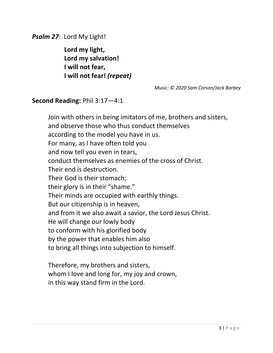#### *Psalm 27*: Lord My Light!

**Lord my light, Lord my salvation! I will not fear, I will not fear!** *(repeat)*

*Music: © 2020 Sam Corson/Jack Barbey*

#### **Second Reading:** Phil 3:17—4:1

Join with others in being imitators of me, brothers and sisters, and observe those who thus conduct themselves according to the model you have in us. For many, as I have often told you and now tell you even in tears, conduct themselves as enemies of the cross of Christ. Their end is destruction. Their God is their stomach; their glory is in their "shame." Their minds are occupied with earthly things. But our citizenship is in heaven, and from it we also await a savior, the Lord Jesus Christ. He will change our lowly body to conform with his glorified body by the power that enables him also to bring all things into subjection to himself.

Therefore, my brothers and sisters, whom I love and long for, my joy and crown, in this way stand firm in the Lord.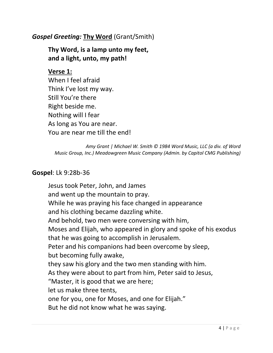#### *Gospel Greeting:* **Thy Word** (Grant/Smith)

**Thy Word, is a lamp unto my feet, and a light, unto, my path!**

#### **Verse 1:**

When I feel afraid Think I've lost my way. Still You're there Right beside me. Nothing will I fear As long as You are near. You are near me till the end!

 *Amy Grant | Michael W. Smith © 1984 Word Music, LLC (a div. of Word Music Group, Inc.) Meadowgreen Music Company (Admin. by Capitol CMG Publishing)*

#### **Gospel**: Lk 9:28b-36

Jesus took Peter, John, and James and went up the mountain to pray. While he was praying his face changed in appearance and his clothing became dazzling white. And behold, two men were conversing with him, Moses and Elijah, who appeared in glory and spoke of his exodus that he was going to accomplish in Jerusalem. Peter and his companions had been overcome by sleep, but becoming fully awake, they saw his glory and the two men standing with him. As they were about to part from him, Peter said to Jesus, "Master, it is good that we are here; let us make three tents, one for you, one for Moses, and one for Elijah." But he did not know what he was saying.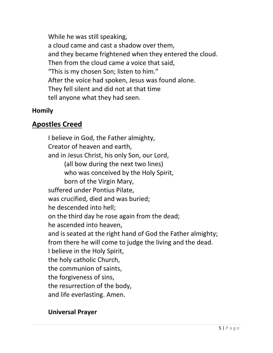While he was still speaking, a cloud came and cast a shadow over them, and they became frightened when they entered the cloud. Then from the cloud came a voice that said, "This is my chosen Son; listen to him." After the voice had spoken, Jesus was found alone. They fell silent and did not at that time tell anyone what they had seen.

#### **Homily**

## **Apostles Creed**

I believe in God, the Father almighty, Creator of heaven and earth, and in Jesus Christ, his only Son, our Lord, (all bow during the next two lines) who was conceived by the Holy Spirit, born of the Virgin Mary, suffered under Pontius Pilate, was crucified, died and was buried; he descended into hell; on the third day he rose again from the dead; he ascended into heaven, and is seated at the right hand of God the Father almighty; from there he will come to judge the living and the dead. I believe in the Holy Spirit, the holy catholic Church, the communion of saints, the forgiveness of sins, the resurrection of the body, and life everlasting. Amen.

#### **Universal Prayer**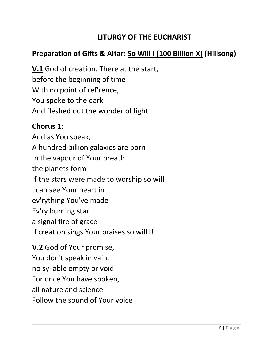## **LITURGY OF THE EUCHARIST**

## **Preparation of Gifts & Altar: So Will I (100 Billion X) (Hillsong)**

**V.1** God of creation. There at the start, before the beginning of time With no point of ref'rence, You spoke to the dark And fleshed out the wonder of light

### **Chorus 1:**

And as You speak, A hundred billion galaxies are born In the vapour of Your breath the planets form If the stars were made to worship so will I I can see Your heart in ev'rything You've made Ev'ry burning star a signal fire of grace If creation sings Your praises so will I!

**V.2** God of Your promise, You don't speak in vain, no syllable empty or void For once You have spoken, all nature and science Follow the sound of Your voice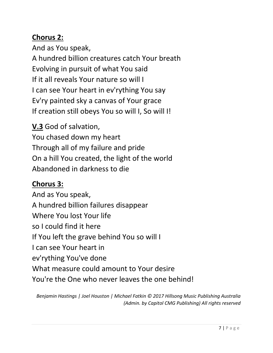## **Chorus 2:**

And as You speak, A hundred billion creatures catch Your breath Evolving in pursuit of what You said If it all reveals Your nature so will I I can see Your heart in ev'rything You say Ev'ry painted sky a canvas of Your grace If creation still obeys You so will I, So will I!

## **V.3** God of salvation,

You chased down my heart Through all of my failure and pride On a hill You created, the light of the world Abandoned in darkness to die

## **Chorus 3:**

And as You speak, A hundred billion failures disappear Where You lost Your life so I could find it here If You left the grave behind You so will I I can see Your heart in ev'rything You've done What measure could amount to Your desire You're the One who never leaves the one behind!

*Benjamin Hastings | Joel Houston | Michael Fatkin © 2017 Hillsong Music Publishing Australia (Admin. by Capitol CMG Publishing) All rights reserved*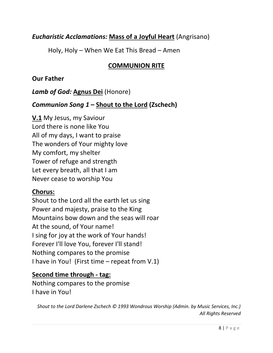### *Eucharistic Acclamations:* **Mass of a Joyful Heart** (Angrisano)

Holy, Holy – When We Eat This Bread – Amen

#### **COMMUNION RITE**

**Our Father**

*Lamb of God:* **Agnus Dei** (Honore)

#### *Communion Song 1* **– Shout to the Lord (Zschech)**

**V.1** My Jesus, my Saviour Lord there is none like You All of my days, I want to praise The wonders of Your mighty love My comfort, my shelter Tower of refuge and strength Let every breath, all that I am Never cease to worship You

#### **Chorus:**

Shout to the Lord all the earth let us sing Power and majesty, praise to the King Mountains bow down and the seas will roar At the sound, of Your name! I sing for joy at the work of Your hands! Forever I'll love You, forever I'll stand! Nothing compares to the promise I have in You! (First time – repeat from V.1)

#### **Second time through - tag:**

Nothing compares to the promise I have in You!

*Shout to the Lord Darlene Zschech © 1993 Wondrous Worship (Admin. by Music Services, Inc.) All Rights Reserved*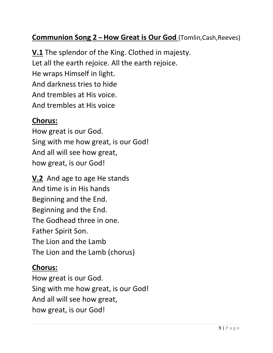## **Communion Song 2 – How Great is Our God** (Tomlin,Cash,Reeves)

**V.1** The splendor of the King. Clothed in majesty. Let all the earth rejoice. All the earth rejoice. He wraps Himself in light. And darkness tries to hide And trembles at His voice. And trembles at His voice

### **Chorus:**

How great is our God. Sing with me how great, is our God! And all will see how great, how great, is our God!

**V.2** And age to age He stands And time is in His hands Beginning and the End. Beginning and the End. The Godhead three in one. Father Spirit Son. The Lion and the Lamb The Lion and the Lamb (chorus)

### **Chorus:**

How great is our God. Sing with me how great, is our God! And all will see how great, how great, is our God!